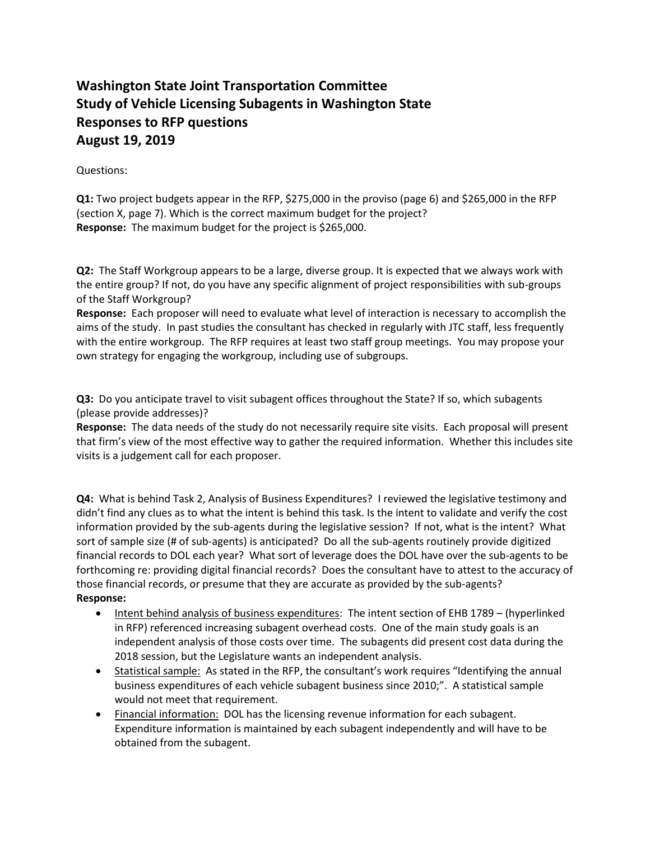## **Washington State Joint Transportation Committee Study of Vehicle Licensing Subagents in Washington State Responses to RFP questions August 19, 2019**

## Questions:

**Q1:** Two project budgets appear in the RFP, \$275,000 in the proviso (page 6) and \$265,000 in the RFP (section X, page 7). Which is the correct maximum budget for the project? **Response:** The maximum budget for the project is \$265,000.

**Q2:** The Staff Workgroup appears to be a large, diverse group. It is expected that we always work with the entire group? If not, do you have any specific alignment of project responsibilities with sub-groups of the Staff Workgroup?

**Response:** Each proposer will need to evaluate what level of interaction is necessary to accomplish the aims of the study. In past studies the consultant has checked in regularly with JTC staff, less frequently with the entire workgroup. The RFP requires at least two staff group meetings. You may propose your own strategy for engaging the workgroup, including use of subgroups.

**Q3:** Do you anticipate travel to visit subagent offices throughout the State? If so, which subagents (please provide addresses)?

**Response:** The data needs of the study do not necessarily require site visits. Each proposal will present that firm's view of the most effective way to gather the required information. Whether this includes site visits is a judgement call for each proposer.

**Q4:** What is behind Task 2, Analysis of Business Expenditures? I reviewed the legislative testimony and didn't find any clues as to what the intent is behind this task. Is the intent to validate and verify the cost information provided by the sub-agents during the legislative session? If not, what is the intent? What sort of sample size (# of sub-agents) is anticipated? Do all the sub-agents routinely provide digitized financial records to DOL each year? What sort of leverage does the DOL have over the sub-agents to be forthcoming re: providing digital financial records? Does the consultant have to attest to the accuracy of those financial records, or presume that they are accurate as provided by the sub-agents? **Response:** 

- Intent behind analysis of business expenditures: The intent section of EHB 1789 (hyperlinked in RFP) referenced increasing subagent overhead costs. One of the main study goals is an independent analysis of those costs over time. The subagents did present cost data during the 2018 session, but the Legislature wants an independent analysis.
- Statistical sample: As stated in the RFP, the consultant's work requires "Identifying the annual business expenditures of each vehicle subagent business since 2010;". A statistical sample would not meet that requirement.
- Financial information: DOL has the licensing revenue information for each subagent. Expenditure information is maintained by each subagent independently and will have to be obtained from the subagent.